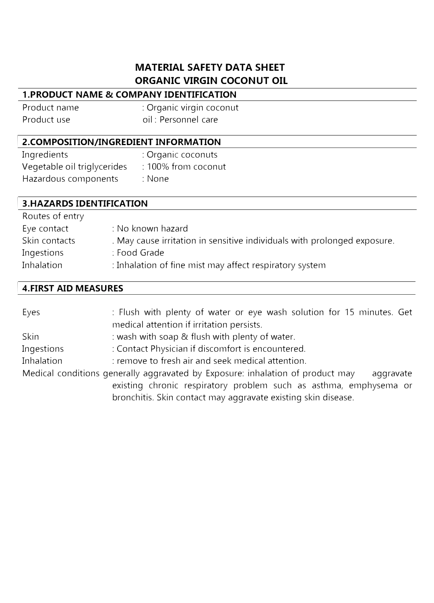# **MATERIAL SAFETY DATA SHEET ORGANIC VIRGIN COCONUT OIL**

# **1.PRODUCT NAME & COMPANY IDENTIFICATION**

| Product name | : Organic virgin coconut |
|--------------|--------------------------|
| Product use  | oil : Personnel care     |

# <sup>I</sup>**2.COMPOSITION/INGREDIENT INFORMATION**

| Ingredients                 | : Organic coconuts  |
|-----------------------------|---------------------|
| Vegetable oil triglycerides | : 100% from coconut |
| Hazardous components        | : None              |

| <b>3.HAZARDS IDENTIFICATION</b> |                                                                          |  |
|---------------------------------|--------------------------------------------------------------------------|--|
| Routes of entry                 |                                                                          |  |
| Eye contact                     | : No known hazard                                                        |  |
| Skin contacts                   | . May cause irritation in sensitive individuals with prolonged exposure. |  |
| Ingestions                      | : Food Grade                                                             |  |
| Inhalation                      | : Inhalation of fine mist may affect respiratory system                  |  |

#### <sup>I</sup>**4.FIRST AID MEASURES**

| Eyes                                                                                        | : Flush with plenty of water or eye wash solution for 15 minutes. Get |  |
|---------------------------------------------------------------------------------------------|-----------------------------------------------------------------------|--|
|                                                                                             | medical attention if irritation persists.                             |  |
| Skin                                                                                        | : wash with soap & flush with plenty of water.                        |  |
| Ingestions                                                                                  | : Contact Physician if discomfort is encountered.                     |  |
| Inhalation                                                                                  | : remove to fresh air and seek medical attention.                     |  |
| Medical conditions generally aggravated by Exposure: inhalation of product may<br>aggravate |                                                                       |  |
|                                                                                             | existing chronic respiratory problem such as asthma, emphysema or     |  |
|                                                                                             | bronchitis. Skin contact may aggravate existing skin disease.         |  |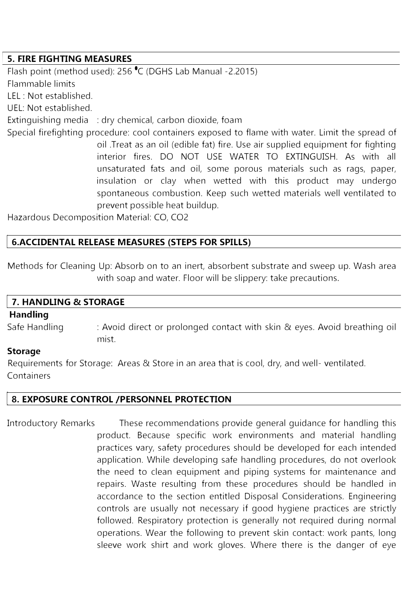## <sup>I</sup>**5. FIRE FIGHTING MEASURES**

Flash point (method used): 256 °c (DGHS Lab Manual -2.2015) Flammable limits LEL : Not established. UEL: Not established. Extinguishing media : dry chemical, carbon dioxide, foam Special firefighting procedure: cool containers exposed to flame with water. Limit the spread of oil .Treat as an oil (edible fat) fire. Use air supplied equipment for fighting interior fires. DO NOT USE WATER TO EXTINGUISH. As with all unsaturated fats and oil, some porous materials such as rags, paper, insulation or clay when wetted with this product may undergo spontaneous combustion. Keep such wetted materials well ventilated to prevent possible heat buildup.

Hazardous Decomposition Material: CO, CO2

## **I 6.ACCIDENTAL RELEASE MEASURES (STEPS FOR SPILLS)**

Methods for Cleaning Up: Absorb on to an inert, absorbent substrate and sweep up. Wash area with soap and water. Floor will be slippery: take precautions.

#### **7. HANDLING & STORAGE**

### **Handling**

Safe Handling : Avoid direct or prolonged contact with skin & eyes. Avoid breathing oil mist.

#### **Storage**

Requirements for Storage: Areas & Store in an area that is cool, dry, and well- ventilated. **Containers** 

#### **8. EXPOSURE CONTROL /PERSONNEL PROTECTION**

Introductory Remarks These recommendations provide general guidance for handling this product. Because specific work environments and material handling practices vary, safety procedures should be developed for each intended application. While developing safe handling procedures, do not overlook the need to clean equipment and piping systems for maintenance and repairs. Waste resulting from these procedures should be handled in accordance to the section entitled Disposal Considerations. Engineering controls are usually not necessary if good hygiene practices are strictly followed. Respiratory protection is generally not required during normal operations. Wear the following to prevent skin contact: work pants, long sleeve work shirt and work gloves. Where there is the danger of eye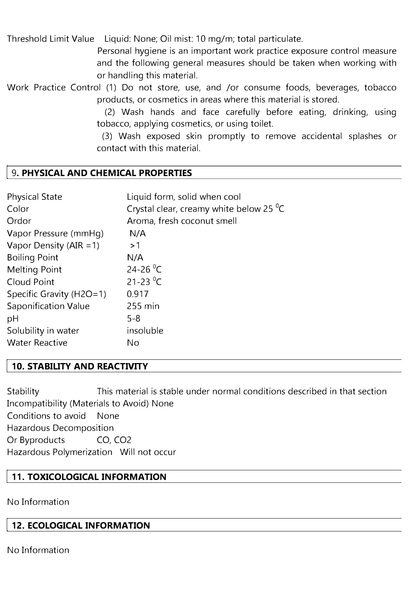Threshold Limit Value Liquid: None; Oil mist: 10 mg/m; total particulate.

Personal hygiene is an important work practice exposure control measure and the following general measures should be taken when working with or handling this material.

Work Practice Control (1) Do not store, use, and /or consume foods, beverages, tobacco products, or cosmetics in areas where this material is stored.

> (2) Wash hands and face carefully before eating, drinking, using tobacco, applying cosmetics, or using toilet.

> (3) Wash exposed skin promptly to remove accidental splashes or contact with this material.

## **I** 9. **PHYSICAL AND CHEMICAL PROPERTIES**

| Liquid form, solid when cool                          |
|-------------------------------------------------------|
| Crystal clear, creamy white below 25 $\mathrm{^{0}C}$ |
| Aroma, fresh coconut smell                            |
| N/A                                                   |
| >1                                                    |
| N/A                                                   |
| 24-26 $^{\circ}$ C                                    |
| 21-23 <sup>o</sup> C                                  |
| 0.917                                                 |
| 255 min                                               |
| $5 - 8$                                               |
| insoluble                                             |
| No                                                    |
|                                                       |

# **I 10. STABILITY AND REACTIVITY**

Stability This material is stable under normal conditions described in that section Incompatibility (Materials to Avoid) None Conditions to avoid None Hazardous Decomposition Or Byproducts CO, CO2 Hazardous Polymerization Will not occur

# **11. TOXICOLOGICAL INFORMATION**

No Information

# **I 12. ECOLOGICAL INFORMATION**

No Information